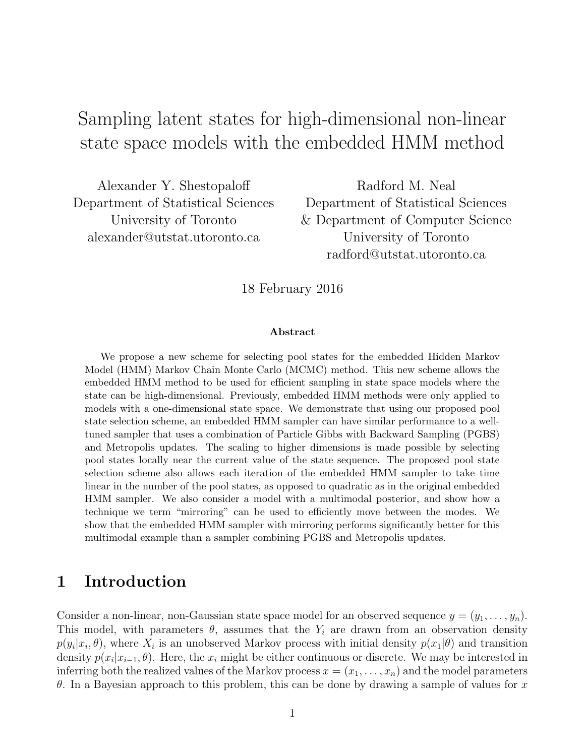# Sampling latent states for high-dimensional non-linear state space models with the embedded HMM method

Alexander Y. Shestopaloff Department of Statistical Sciences University of Toronto alexander@utstat.utoronto.ca

Radford M. Neal Department of Statistical Sciences & Department of Computer Science University of Toronto radford@utstat.utoronto.ca

18 February 2016

#### Abstract

We propose a new scheme for selecting pool states for the embedded Hidden Markov Model (HMM) Markov Chain Monte Carlo (MCMC) method. This new scheme allows the embedded HMM method to be used for efficient sampling in state space models where the state can be high-dimensional. Previously, embedded HMM methods were only applied to models with a one-dimensional state space. We demonstrate that using our proposed pool state selection scheme, an embedded HMM sampler can have similar performance to a welltuned sampler that uses a combination of Particle Gibbs with Backward Sampling (PGBS) and Metropolis updates. The scaling to higher dimensions is made possible by selecting pool states locally near the current value of the state sequence. The proposed pool state selection scheme also allows each iteration of the embedded HMM sampler to take time linear in the number of the pool states, as opposed to quadratic as in the original embedded HMM sampler. We also consider a model with a multimodal posterior, and show how a technique we term "mirroring" can be used to efficiently move between the modes. We show that the embedded HMM sampler with mirroring performs significantly better for this multimodal example than a sampler combining PGBS and Metropolis updates.

### 1 Introduction

Consider a non-linear, non-Gaussian state space model for an observed sequence  $y = (y_1, \ldots, y_n)$ . This model, with parameters  $\theta$ , assumes that the  $Y_i$  are drawn from an observation density  $p(y_i|x_i, \theta)$ , where  $X_i$  is an unobserved Markov process with initial density  $p(x_1|\theta)$  and transition density  $p(x_i|x_{i-1}, \theta)$ . Here, the  $x_i$  might be either continuous or discrete. We may be interested in inferring both the realized values of the Markov process  $x = (x_1, \ldots, x_n)$  and the model parameters θ. In a Bayesian approach to this problem, this can be done by drawing a sample of values for  $x$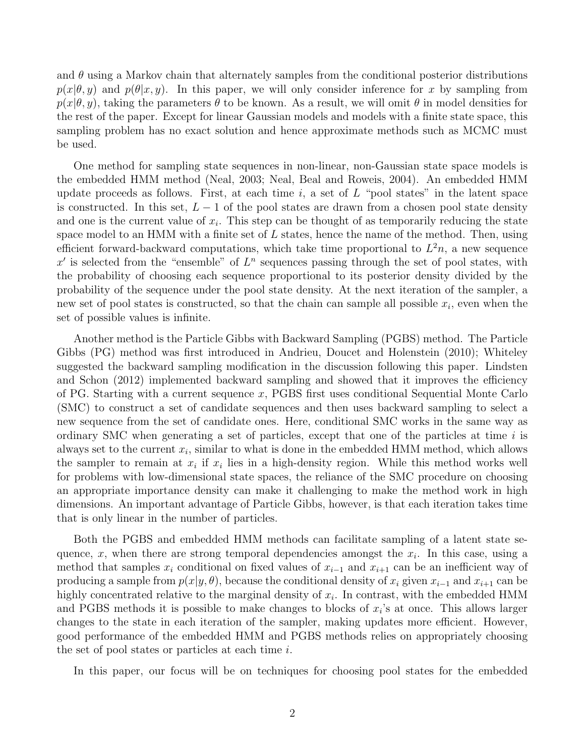and  $\theta$  using a Markov chain that alternately samples from the conditional posterior distributions  $p(x|\theta, y)$  and  $p(\theta|x, y)$ . In this paper, we will only consider inference for x by sampling from  $p(x|\theta, y)$ , taking the parameters  $\theta$  to be known. As a result, we will omit  $\theta$  in model densities for the rest of the paper. Except for linear Gaussian models and models with a finite state space, this sampling problem has no exact solution and hence approximate methods such as MCMC must be used.

One method for sampling state sequences in non-linear, non-Gaussian state space models is the embedded HMM method (Neal, 2003; Neal, Beal and Roweis, 2004). An embedded HMM update proceeds as follows. First, at each time i, a set of  $L$  "pool states" in the latent space is constructed. In this set,  $L - 1$  of the pool states are drawn from a chosen pool state density and one is the current value of  $x_i$ . This step can be thought of as temporarily reducing the state space model to an HMM with a finite set of  $L$  states, hence the name of the method. Then, using efficient forward-backward computations, which take time proportional to  $L^2n$ , a new sequence  $x'$  is selected from the "ensemble" of  $L^n$  sequences passing through the set of pool states, with the probability of choosing each sequence proportional to its posterior density divided by the probability of the sequence under the pool state density. At the next iteration of the sampler, a new set of pool states is constructed, so that the chain can sample all possible  $x_i$ , even when the set of possible values is infinite.

Another method is the Particle Gibbs with Backward Sampling (PGBS) method. The Particle Gibbs (PG) method was first introduced in Andrieu, Doucet and Holenstein (2010); Whiteley suggested the backward sampling modification in the discussion following this paper. Lindsten and Schon (2012) implemented backward sampling and showed that it improves the efficiency of PG. Starting with a current sequence x, PGBS first uses conditional Sequential Monte Carlo (SMC) to construct a set of candidate sequences and then uses backward sampling to select a new sequence from the set of candidate ones. Here, conditional SMC works in the same way as ordinary SMC when generating a set of particles, except that one of the particles at time  $i$  is always set to the current  $x_i$ , similar to what is done in the embedded HMM method, which allows the sampler to remain at  $x_i$  if  $x_i$  lies in a high-density region. While this method works well for problems with low-dimensional state spaces, the reliance of the SMC procedure on choosing an appropriate importance density can make it challenging to make the method work in high dimensions. An important advantage of Particle Gibbs, however, is that each iteration takes time that is only linear in the number of particles.

Both the PGBS and embedded HMM methods can facilitate sampling of a latent state sequence, x, when there are strong temporal dependencies amongst the  $x_i$ . In this case, using a method that samples  $x_i$  conditional on fixed values of  $x_{i-1}$  and  $x_{i+1}$  can be an inefficient way of producing a sample from  $p(x|y, \theta)$ , because the conditional density of  $x_i$  given  $x_{i-1}$  and  $x_{i+1}$  can be highly concentrated relative to the marginal density of  $x_i$ . In contrast, with the embedded HMM and PGBS methods it is possible to make changes to blocks of  $x_i$ 's at once. This allows larger changes to the state in each iteration of the sampler, making updates more efficient. However, good performance of the embedded HMM and PGBS methods relies on appropriately choosing the set of pool states or particles at each time  $i$ .

In this paper, our focus will be on techniques for choosing pool states for the embedded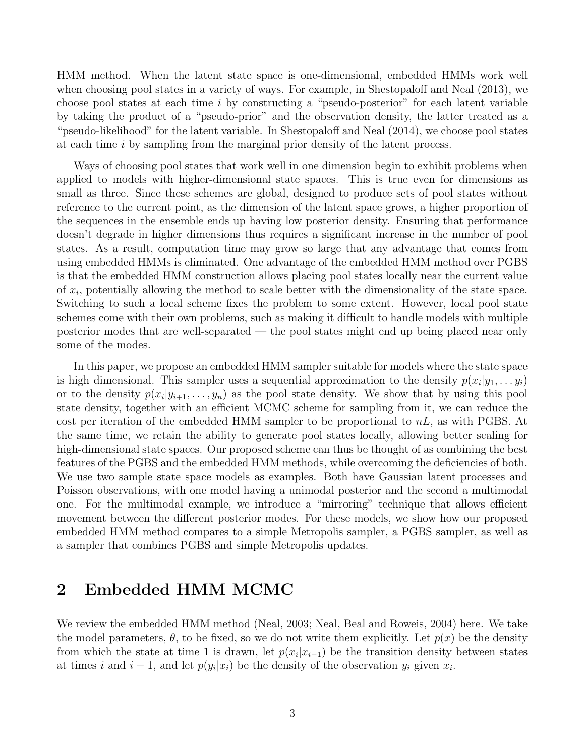HMM method. When the latent state space is one-dimensional, embedded HMMs work well when choosing pool states in a variety of ways. For example, in Shestopaloff and Neal (2013), we choose pool states at each time  $i$  by constructing a "pseudo-posterior" for each latent variable by taking the product of a "pseudo-prior" and the observation density, the latter treated as a "pseudo-likelihood" for the latent variable. In Shestopaloff and Neal (2014), we choose pool states at each time i by sampling from the marginal prior density of the latent process.

Ways of choosing pool states that work well in one dimension begin to exhibit problems when applied to models with higher-dimensional state spaces. This is true even for dimensions as small as three. Since these schemes are global, designed to produce sets of pool states without reference to the current point, as the dimension of the latent space grows, a higher proportion of the sequences in the ensemble ends up having low posterior density. Ensuring that performance doesn't degrade in higher dimensions thus requires a significant increase in the number of pool states. As a result, computation time may grow so large that any advantage that comes from using embedded HMMs is eliminated. One advantage of the embedded HMM method over PGBS is that the embedded HMM construction allows placing pool states locally near the current value of  $x_i$ , potentially allowing the method to scale better with the dimensionality of the state space. Switching to such a local scheme fixes the problem to some extent. However, local pool state schemes come with their own problems, such as making it difficult to handle models with multiple posterior modes that are well-separated — the pool states might end up being placed near only some of the modes.

In this paper, we propose an embedded HMM sampler suitable for models where the state space is high dimensional. This sampler uses a sequential approximation to the density  $p(x_i|y_1, \ldots y_i)$ or to the density  $p(x_i|y_{i+1},..., y_n)$  as the pool state density. We show that by using this pool state density, together with an efficient MCMC scheme for sampling from it, we can reduce the cost per iteration of the embedded HMM sampler to be proportional to  $nL$ , as with PGBS. At the same time, we retain the ability to generate pool states locally, allowing better scaling for high-dimensional state spaces. Our proposed scheme can thus be thought of as combining the best features of the PGBS and the embedded HMM methods, while overcoming the deficiencies of both. We use two sample state space models as examples. Both have Gaussian latent processes and Poisson observations, with one model having a unimodal posterior and the second a multimodal one. For the multimodal example, we introduce a "mirroring" technique that allows efficient movement between the different posterior modes. For these models, we show how our proposed embedded HMM method compares to a simple Metropolis sampler, a PGBS sampler, as well as a sampler that combines PGBS and simple Metropolis updates.

### 2 Embedded HMM MCMC

We review the embedded HMM method (Neal, 2003; Neal, Beal and Roweis, 2004) here. We take the model parameters,  $\theta$ , to be fixed, so we do not write them explicitly. Let  $p(x)$  be the density from which the state at time 1 is drawn, let  $p(x_i|x_{i-1})$  be the transition density between states at times i and  $i-1$ , and let  $p(y_i|x_i)$  be the density of the observation  $y_i$  given  $x_i$ .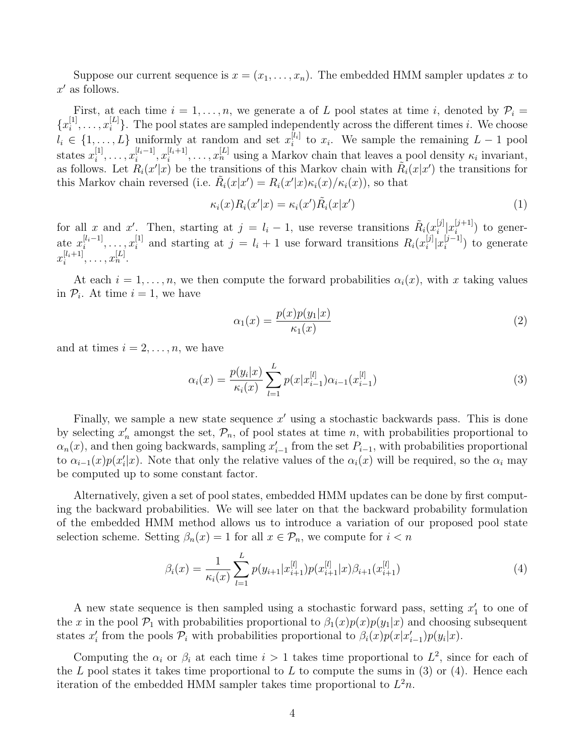Suppose our current sequence is  $x = (x_1, \ldots, x_n)$ . The embedded HMM sampler updates x to  $x'$  as follows.

First, at each time  $i = 1, \ldots, n$ , we generate a of L pool states at time i, denoted by  $P_i =$  ${x_i^{[1]}$  $x_i^{[1]}, \ldots, x_i^{[L]}$  $\binom{[L]}{i}$ . The pool states are sampled independently across the different times i. We choose  $l_i \in \{1, \ldots, L\}$  uniformly at random and set  $x_i^{[l_i]}$  $\iota_i^{[l_i]}$  to  $x_i$ . We sample the remaining  $L-1$  pool states  $x_i^{[1]}$  $\binom{[1]}{i}, \ldots, x_i^{[l_i-1]}$  $[i-1]$ ,  $x_i^{[l_i+1]}$  $\mathbb{E}_{i}^{[l_i+1]}, \ldots, \mathbb{E}_{n}^{[L]}$  using a Markov chain that leaves a pool density  $\kappa_i$  invariant, as follows. Let  $R_i(x'|x)$  be the transitions of this Markov chain with  $R_i(x|x')$  the transitions for this Markov chain reversed (i.e.  $\tilde{R}_i(x|x') = R_i(x'|x)\kappa_i(x)/\kappa_i(x)$ ), so that

$$
\kappa_i(x)R_i(x'|x) = \kappa_i(x')\tilde{R}_i(x|x')
$$
\n(1)

for all x and x'. Then, starting at  $j = l_i - 1$ , use reverse transitions  $\tilde{R}_i(x_i^{[j]})$  $\binom{[j]}{i}x_i^{[j+1]}$  $\binom{[J+1]}{i}$  to generate  $x_i^{[l_i-1]}$  $[i_i-1]$ , ...,  $x_i^{[1]}$  $i_i^{[1]}$  and starting at  $j = l_i + 1$  use forward transitions  $R_i(x_i^{[j]})$  $\binom{[j]}{i}x_i^{[j-1]}$  $i^{[j-1]}$  to generate  $x_i^{[l_i+1]}$  $[i+1]$ , ...,  $x_n^{[L]}$ .

At each  $i = 1, \ldots, n$ , we then compute the forward probabilities  $\alpha_i(x)$ , with x taking values in  $P_i$ . At time  $i = 1$ , we have

$$
\alpha_1(x) = \frac{p(x)p(y_1|x)}{\kappa_1(x)}\tag{2}
$$

and at times  $i = 2, \ldots, n$ , we have

$$
\alpha_i(x) = \frac{p(y_i|x)}{\kappa_i(x)} \sum_{l=1}^{L} p(x|x_{i-1}^{[l]}) \alpha_{i-1}(x_{i-1}^{[l]})
$$
\n(3)

Finally, we sample a new state sequence  $x'$  using a stochastic backwards pass. This is done by selecting  $x'_n$  amongst the set,  $\mathcal{P}_n$ , of pool states at time n, with probabilities proportional to  $\alpha_n(x)$ , and then going backwards, sampling  $x'_{i-1}$  from the set  $P_{i-1}$ , with probabilities proportional to  $\alpha_{i-1}(x)p(x_i'|x)$ . Note that only the relative values of the  $\alpha_i(x)$  will be required, so the  $\alpha_i$  may be computed up to some constant factor.

Alternatively, given a set of pool states, embedded HMM updates can be done by first computing the backward probabilities. We will see later on that the backward probability formulation of the embedded HMM method allows us to introduce a variation of our proposed pool state selection scheme. Setting  $\beta_n(x) = 1$  for all  $x \in \mathcal{P}_n$ , we compute for  $i < n$ 

$$
\beta_i(x) = \frac{1}{\kappa_i(x)} \sum_{l=1}^{L} p(y_{i+1}|x_{i+1}^{[l]}) p(x_{i+1}^{[l]}|x) \beta_{i+1}(x_{i+1}^{[l]})
$$
\n(4)

A new state sequence is then sampled using a stochastic forward pass, setting  $x_1'$  to one of the x in the pool  $\mathcal{P}_1$  with probabilities proportional to  $\beta_1(x)p(x)p(y_1|x)$  and choosing subsequent states  $x'_i$  from the pools  $\mathcal{P}_i$  with probabilities proportional to  $\beta_i(x)p(x|x'_{i-1})p(y_i|x)$ .

Computing the  $\alpha_i$  or  $\beta_i$  at each time  $i > 1$  takes time proportional to  $L^2$ , since for each of the L pool states it takes time proportional to L to compute the sums in  $(3)$  or  $(4)$ . Hence each iteration of the embedded HMM sampler takes time proportional to  $L^2n$ .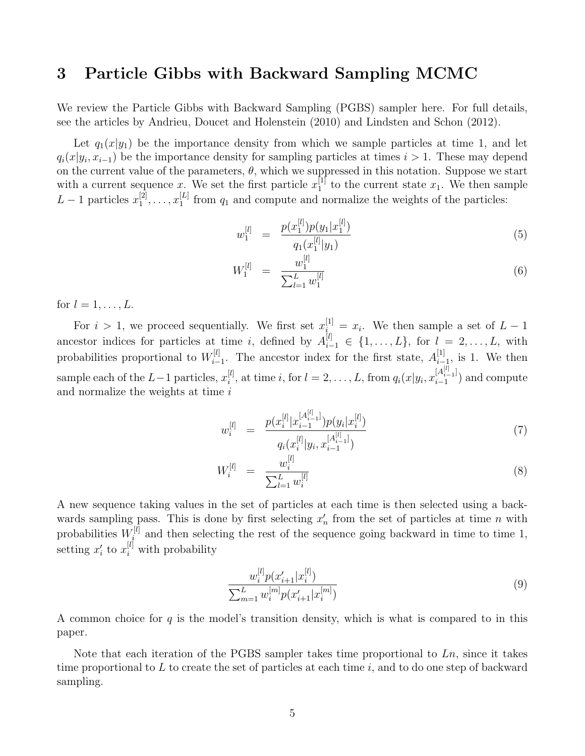### 3 Particle Gibbs with Backward Sampling MCMC

We review the Particle Gibbs with Backward Sampling (PGBS) sampler here. For full details, see the articles by Andrieu, Doucet and Holenstein (2010) and Lindsten and Schon (2012).

Let  $q_1(x|y_1)$  be the importance density from which we sample particles at time 1, and let  $q_i(x|y_i, x_{i-1})$  be the importance density for sampling particles at times  $i > 1$ . These may depend on the current value of the parameters,  $\theta$ , which we suppressed in this notation. Suppose we start with a current sequence x. We set the first particle  $x_1^{[1]}$  $_1^{\lbrack 1\rbrack}$  to the current state  $x_1$ . We then sample  $L-1$  particles  $x_1^{[2]}$  $\left[ 2\right] _{1},\ldots ,x_{1}^{[L]}$  $\frac{1}{1}$  from  $q_1$  and compute and normalize the weights of the particles:

$$
w_1^{[l]} = \frac{p(x_1^{[l]})p(y_1|x_1^{[l]})}{q_1(x_1^{[l]}|y_1)}
$$
\n
$$
(5)
$$

$$
W_1^{[l]} = \frac{w_1^{[l]}}{\sum_{l=1}^L w_1^{[l]}} \tag{6}
$$

for  $l = 1, \ldots, L$ .

For  $i > 1$ , we proceed sequentially. We first set  $x_{i}^{[1]} = x_i$ . We then sample a set of  $L - 1$ ancestor indices for particles at time i, defined by  $A_{i-1}^{[l]} \in \{1,\ldots,L\}$ , for  $l = 2,\ldots,L$ , with probabilities proportional to  $W_i^{[l]}$  $\mathcal{I}_{i-1}^{[l]}$ . The ancestor index for the first state,  $A_{i-1}^{[1]}$  $\prod_{i=1}^{\lfloor 1 \rfloor}$ , is 1. We then sample each of the  $L-1$  particles,  $x_i^{[l]}$  $i^{[l]}$ , at time i, for  $l = 2, ..., L$ , from  $q_i(x|y_i, x_{i-1}^{[A_{i-1}^{[l]}]})$  $\binom{[A_{i-1}]}{i-1}$  and compute and normalize the weights at time  $i$ 

$$
w_i^{[l]} = \frac{p(x_i^{[l]}|x_{i-1}^{[A_{i-1}^{[l]})})p(y_i|x_i^{[l]})}{q_i(x_i^{[l]}|y_i, x_{i-1}^{[A_{i-1}^{[l]})})}
$$
(7)

$$
W_i^{[l]} = \frac{w_i^{[l]}}{\sum_{l=1}^L w_i^{[l]}} \tag{8}
$$

A new sequence taking values in the set of particles at each time is then selected using a backwards sampling pass. This is done by first selecting  $x_n'$  from the set of particles at time n with probabilities  $W_i^{[l]}$  $i^{[l]}$  and then selecting the rest of the sequence going backward in time to time 1, setting  $x_i'$  to  $x_i^{[l]}$  with probability

$$
\frac{w_i^{[l]} p(x'_{i+1} | x_i^{[l]})}{\sum_{m=1}^{L} w_i^{[m]} p(x'_{i+1} | x_i^{[m]})}
$$
\n
$$
(9)
$$

A common choice for  $q$  is the model's transition density, which is what is compared to in this paper.

Note that each iteration of the PGBS sampler takes time proportional to  $Ln$ , since it takes time proportional to  $L$  to create the set of particles at each time  $i$ , and to do one step of backward sampling.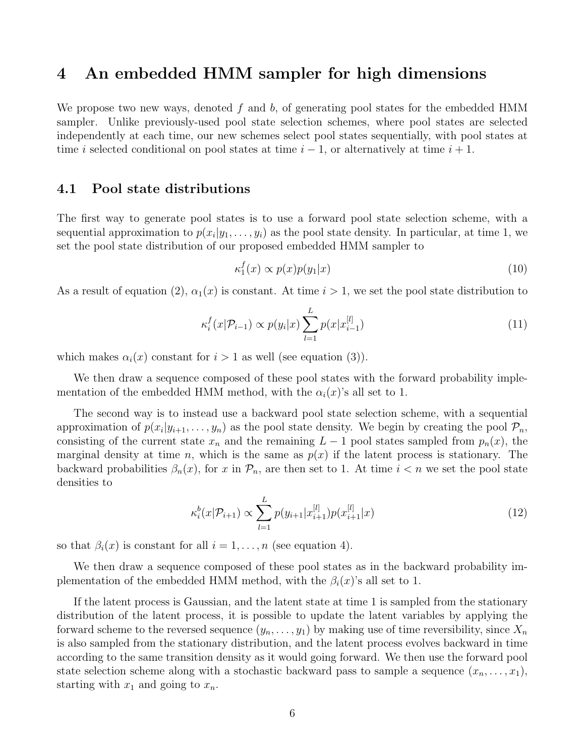### 4 An embedded HMM sampler for high dimensions

We propose two new ways, denoted  $f$  and  $b$ , of generating pool states for the embedded HMM sampler. Unlike previously-used pool state selection schemes, where pool states are selected independently at each time, our new schemes select pool states sequentially, with pool states at time i selected conditional on pool states at time  $i-1$ , or alternatively at time  $i+1$ .

#### 4.1 Pool state distributions

The first way to generate pool states is to use a forward pool state selection scheme, with a sequential approximation to  $p(x_i|y_1,\ldots,y_i)$  as the pool state density. In particular, at time 1, we set the pool state distribution of our proposed embedded HMM sampler to

$$
\kappa_1^f(x) \propto p(x)p(y_1|x) \tag{10}
$$

As a result of equation (2),  $\alpha_1(x)$  is constant. At time  $i > 1$ , we set the pool state distribution to

$$
\kappa_i^f(x|\mathcal{P}_{i-1}) \propto p(y_i|x) \sum_{l=1}^L p(x|x_{i-1}^{[l]})
$$
\n(11)

which makes  $\alpha_i(x)$  constant for  $i > 1$  as well (see equation (3)).

We then draw a sequence composed of these pool states with the forward probability implementation of the embedded HMM method, with the  $\alpha_i(x)$ 's all set to 1.

The second way is to instead use a backward pool state selection scheme, with a sequential approximation of  $p(x_i|y_{i+1},..., y_n)$  as the pool state density. We begin by creating the pool  $\mathcal{P}_n$ , consisting of the current state  $x_n$  and the remaining  $L-1$  pool states sampled from  $p_n(x)$ , the marginal density at time n, which is the same as  $p(x)$  if the latent process is stationary. The backward probabilities  $\beta_n(x)$ , for x in  $\mathcal{P}_n$ , are then set to 1. At time  $i < n$  we set the pool state densities to

$$
\kappa_i^b(x|\mathcal{P}_{i+1}) \propto \sum_{l=1}^L p(y_{i+1}|x_{i+1}^{[l]}) p(x_{i+1}^{[l]}|x) \tag{12}
$$

so that  $\beta_i(x)$  is constant for all  $i = 1, \ldots, n$  (see equation 4).

We then draw a sequence composed of these pool states as in the backward probability implementation of the embedded HMM method, with the  $\beta_i(x)$ 's all set to 1.

If the latent process is Gaussian, and the latent state at time 1 is sampled from the stationary distribution of the latent process, it is possible to update the latent variables by applying the forward scheme to the reversed sequence  $(y_n, \ldots, y_1)$  by making use of time reversibility, since  $X_n$ is also sampled from the stationary distribution, and the latent process evolves backward in time according to the same transition density as it would going forward. We then use the forward pool state selection scheme along with a stochastic backward pass to sample a sequence  $(x_n, \ldots, x_1)$ , starting with  $x_1$  and going to  $x_n$ .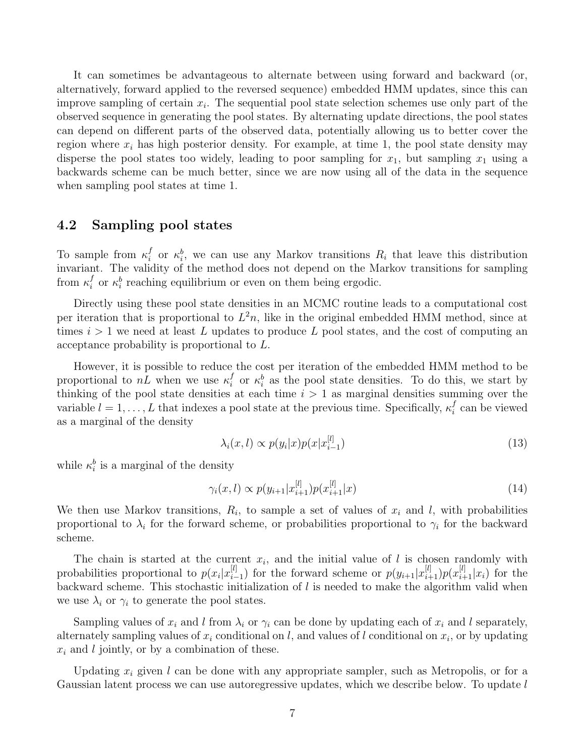It can sometimes be advantageous to alternate between using forward and backward (or, alternatively, forward applied to the reversed sequence) embedded HMM updates, since this can improve sampling of certain  $x_i$ . The sequential pool state selection schemes use only part of the observed sequence in generating the pool states. By alternating update directions, the pool states can depend on different parts of the observed data, potentially allowing us to better cover the region where  $x_i$  has high posterior density. For example, at time 1, the pool state density may disperse the pool states too widely, leading to poor sampling for  $x_1$ , but sampling  $x_1$  using a backwards scheme can be much better, since we are now using all of the data in the sequence when sampling pool states at time 1.

#### 4.2 Sampling pool states

To sample from  $\kappa_i^f$ <sup>f</sup> or  $\kappa_i^b$ , we can use any Markov transitions  $R_i$  that leave this distribution invariant. The validity of the method does not depend on the Markov transitions for sampling from  $\kappa_i^f$  $\kappa_i^f$  or  $\kappa_i^b$  reaching equilibrium or even on them being ergodic.

Directly using these pool state densities in an MCMC routine leads to a computational cost per iteration that is proportional to  $L^2n$ , like in the original embedded HMM method, since at times  $i > 1$  we need at least L updates to produce L pool states, and the cost of computing an acceptance probability is proportional to L.

However, it is possible to reduce the cost per iteration of the embedded HMM method to be proportional to  $nL$  when we use  $\kappa_i^f$  $\kappa_i^f$  or  $\kappa_i^b$  as the pool state densities. To do this, we start by thinking of the pool state densities at each time  $i > 1$  as marginal densities summing over the variable  $l = 1, \ldots, L$  that indexes a pool state at the previous time. Specifically,  $\kappa_i^f$  $i$  can be viewed as a marginal of the density

$$
\lambda_i(x,l) \propto p(y_i|x)p(x|x_{i-1}^{[l]}) \tag{13}
$$

while  $\kappa_i^b$  is a marginal of the density

$$
\gamma_i(x,l) \propto p(y_{i+1}|x_{i+1}^{[l]})p(x_{i+1}^{[l]}|x) \tag{14}
$$

We then use Markov transitions,  $R_i$ , to sample a set of values of  $x_i$  and  $l$ , with probabilities proportional to  $\lambda_i$  for the forward scheme, or probabilities proportional to  $\gamma_i$  for the backward scheme.

The chain is started at the current  $x_i$ , and the initial value of l is chosen randomly with probabilities proportional to  $p(x_i|x_i^{[l]})$  $\binom{[l]}{i-1}$  for the forward scheme or  $p(y_{i+1}|x_{i+1}^{[l]})p(x_{i+1}^{[l]}|x_i)$  for the backward scheme. This stochastic initialization of  $l$  is needed to make the algorithm valid when we use  $\lambda_i$  or  $\gamma_i$  to generate the pool states.

Sampling values of  $x_i$  and l from  $\lambda_i$  or  $\gamma_i$  can be done by updating each of  $x_i$  and l separately, alternately sampling values of  $x_i$  conditional on l, and values of l conditional on  $x_i$ , or by updating  $x_i$  and l jointly, or by a combination of these.

Updating  $x_i$  given l can be done with any appropriate sampler, such as Metropolis, or for a Gaussian latent process we can use autoregressive updates, which we describe below. To update l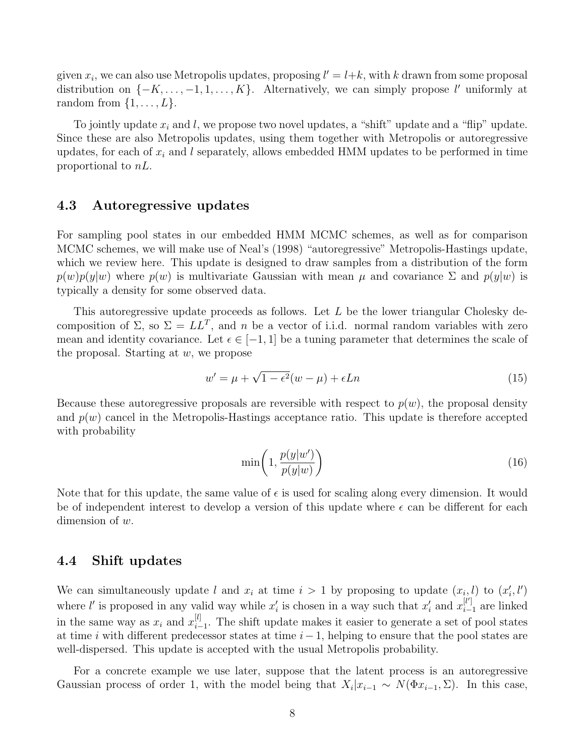given  $x_i$ , we can also use Metropolis updates, proposing  $l' = l+k$ , with k drawn from some proposal distribution on  $\{-K, \ldots, -1, 1, \ldots, K\}$ . Alternatively, we can simply propose l'uniformly at random from  $\{1, \ldots, L\}$ .

To jointly update  $x_i$  and l, we propose two novel updates, a "shift" update and a "flip" update. Since these are also Metropolis updates, using them together with Metropolis or autoregressive updates, for each of  $x_i$  and l separately, allows embedded HMM updates to be performed in time proportional to nL.

#### 4.3 Autoregressive updates

For sampling pool states in our embedded HMM MCMC schemes, as well as for comparison MCMC schemes, we will make use of Neal's (1998) "autoregressive" Metropolis-Hastings update, which we review here. This update is designed to draw samples from a distribution of the form  $p(w)p(y|w)$  where  $p(w)$  is multivariate Gaussian with mean  $\mu$  and covariance  $\Sigma$  and  $p(y|w)$  is typically a density for some observed data.

This autoregressive update proceeds as follows. Let  $L$  be the lower triangular Cholesky decomposition of  $\Sigma$ , so  $\Sigma = LL^T$ , and n be a vector of i.i.d. normal random variables with zero mean and identity covariance. Let  $\epsilon \in [-1, 1]$  be a tuning parameter that determines the scale of the proposal. Starting at  $w$ , we propose

$$
w' = \mu + \sqrt{1 - \epsilon^2}(w - \mu) + \epsilon L n \tag{15}
$$

Because these autoregressive proposals are reversible with respect to  $p(w)$ , the proposal density and  $p(w)$  cancel in the Metropolis-Hastings acceptance ratio. This update is therefore accepted with probability

$$
\min\left(1, \frac{p(y|w')}{p(y|w)}\right) \tag{16}
$$

Note that for this update, the same value of  $\epsilon$  is used for scaling along every dimension. It would be of independent interest to develop a version of this update where  $\epsilon$  can be different for each dimension of  $w$ .

#### 4.4 Shift updates

We can simultaneously update l and  $x_i$  at time  $i > 1$  by proposing to update  $(x_i, l)$  to  $(x'_i, l')$ where *l'* is proposed in any valid way while  $x'_i$  is chosen in a way such that  $x'_i$  and  $x_i^{[l']}$  $i-1$  are linked in the same way as  $x_i$  and  $x_{i-}^{[l]}$  $\frac{[t]}{i-1}$ . The shift update makes it easier to generate a set of pool states at time i with different predecessor states at time  $i-1$ , helping to ensure that the pool states are well-dispersed. This update is accepted with the usual Metropolis probability.

For a concrete example we use later, suppose that the latent process is an autoregressive Gaussian process of order 1, with the model being that  $X_i | x_{i-1} \sim N(\Phi x_{i-1}, \Sigma)$ . In this case,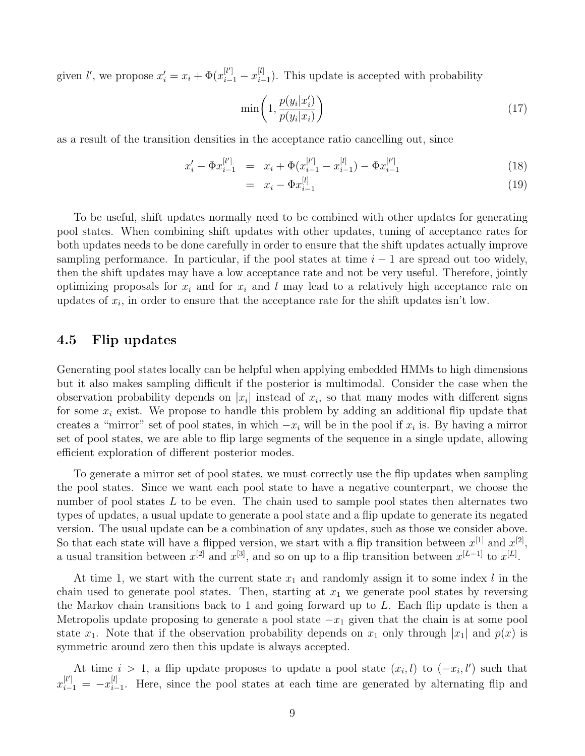given *l'*, we propose  $x'_{i} = x_{i} + \Phi(x_{i-1}^{[l']} - x_{i-1}^{[l]})$  $\binom{[t]}{i-1}$ . This update is accepted with probability

$$
\min\left(1, \frac{p(y_i|x'_i)}{p(y_i|x_i)}\right) \tag{17}
$$

as a result of the transition densities in the acceptance ratio cancelling out, since

$$
x'_{i} - \Phi x_{i-1}^{[l']} = x_{i} + \Phi (x_{i-1}^{[l']} - x_{i-1}^{[l]}) - \Phi x_{i-1}^{[l']} \tag{18}
$$

$$
= x_i - \Phi x_{i-1}^{[l]} \tag{19}
$$

To be useful, shift updates normally need to be combined with other updates for generating pool states. When combining shift updates with other updates, tuning of acceptance rates for both updates needs to be done carefully in order to ensure that the shift updates actually improve sampling performance. In particular, if the pool states at time  $i - 1$  are spread out too widely, then the shift updates may have a low acceptance rate and not be very useful. Therefore, jointly optimizing proposals for  $x_i$  and for  $x_i$  and l may lead to a relatively high acceptance rate on updates of  $x_i$ , in order to ensure that the acceptance rate for the shift updates isn't low.

#### 4.5 Flip updates

Generating pool states locally can be helpful when applying embedded HMMs to high dimensions but it also makes sampling difficult if the posterior is multimodal. Consider the case when the observation probability depends on  $|x_i|$  instead of  $x_i$ , so that many modes with different signs for some  $x_i$  exist. We propose to handle this problem by adding an additional flip update that creates a "mirror" set of pool states, in which  $-x_i$  will be in the pool if  $x_i$  is. By having a mirror set of pool states, we are able to flip large segments of the sequence in a single update, allowing efficient exploration of different posterior modes.

To generate a mirror set of pool states, we must correctly use the flip updates when sampling the pool states. Since we want each pool state to have a negative counterpart, we choose the number of pool states  $L$  to be even. The chain used to sample pool states then alternates two types of updates, a usual update to generate a pool state and a flip update to generate its negated version. The usual update can be a combination of any updates, such as those we consider above. So that each state will have a flipped version, we start with a flip transition between  $x^{[1]}$  and  $x^{[2]}$ , a usual transition between  $x^{[2]}$  and  $x^{[3]}$ , and so on up to a flip transition between  $x^{[L-1]}$  to  $x^{[L]}$ .

At time 1, we start with the current state  $x_1$  and randomly assign it to some index l in the chain used to generate pool states. Then, starting at  $x_1$  we generate pool states by reversing the Markov chain transitions back to 1 and going forward up to  $L$ . Each flip update is then a Metropolis update proposing to generate a pool state  $-x_1$  given that the chain is at some pool state  $x_1$ . Note that if the observation probability depends on  $x_1$  only through  $|x_1|$  and  $p(x)$  is symmetric around zero then this update is always accepted.

At time  $i > 1$ , a flip update proposes to update a pool state  $(x_i, l)$  to  $(-x_i, l')$  such that  $x_{i-1}^{[l']} = -x_{i-1}^{[l]}$  $\prod_{i=1}^{\lbrack t]}$ . Here, since the pool states at each time are generated by alternating flip and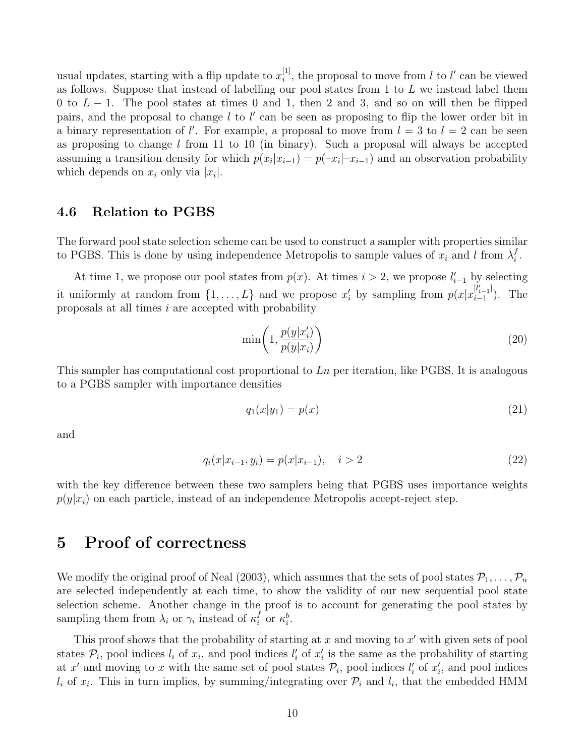usual updates, starting with a flip update to  $x_i^{[1]}$  $i^{[1]}$ , the proposal to move from l to l' can be viewed as follows. Suppose that instead of labelling our pool states from 1 to L we instead label them 0 to  $L - 1$ . The pool states at times 0 and 1, then 2 and 3, and so on will then be flipped pairs, and the proposal to change  $l$  to  $l'$  can be seen as proposing to flip the lower order bit in a binary representation of  $l'$ . For example, a proposal to move from  $l = 3$  to  $l = 2$  can be seen as proposing to change  $l$  from 11 to 10 (in binary). Such a proposal will always be accepted assuming a transition density for which  $p(x_i|x_{i-1}) = p(-x_i|x_{i-1})$  and an observation probability which depends on  $x_i$  only via  $|x_i|$ .

#### 4.6 Relation to PGBS

The forward pool state selection scheme can be used to construct a sampler with properties similar to PGBS. This is done by using independence Metropolis to sample values of  $x_i$  and l from  $\lambda_i^f$  $\frac{j}{i}$  .

At time 1, we propose our pool states from  $p(x)$ . At times  $i > 2$ , we propose  $l'_{i-1}$  by selecting it uniformly at random from  $\{1,\ldots,L\}$  and we propose  $x_i'$  by sampling from  $p(x|x_{i-1}^{[l'_{i-1}]})$  $i_{i-1}^{i_{i-1}}$ ). The proposals at all times  $i$  are accepted with probability

$$
\min\left(1, \frac{p(y|x'_i)}{p(y|x_i)}\right) \tag{20}
$$

This sampler has computational cost proportional to  $\mathcal{L}n$  per iteration, like PGBS. It is analogous to a PGBS sampler with importance densities

$$
q_1(x|y_1) = p(x) \tag{21}
$$

and

$$
q_i(x|x_{i-1}, y_i) = p(x|x_{i-1}), \quad i > 2
$$
\n(22)

with the key difference between these two samplers being that PGBS uses importance weights  $p(y|x_i)$  on each particle, instead of an independence Metropolis accept-reject step.

### 5 Proof of correctness

We modify the original proof of Neal (2003), which assumes that the sets of pool states  $P_1, \ldots, P_n$ are selected independently at each time, to show the validity of our new sequential pool state selection scheme. Another change in the proof is to account for generating the pool states by sampling them from  $\lambda_i$  or  $\gamma_i$  instead of  $\kappa_i^f$  $i \text{ or } \kappa_i^b$ .

This proof shows that the probability of starting at  $x$  and moving to  $x'$  with given sets of pool states  $\mathcal{P}_i$ , pool indices  $l_i$  of  $x_i$ , and pool indices  $l'_i$  of  $x'_i$  is the same as the probability of starting at x' and moving to x with the same set of pool states  $\mathcal{P}_i$ , pool indices  $l'_i$  of  $x'_i$ , and pool indices  $l_i$  of  $x_i$ . This in turn implies, by summing/integrating over  $\mathcal{P}_i$  and  $l_i$ , that the embedded HMM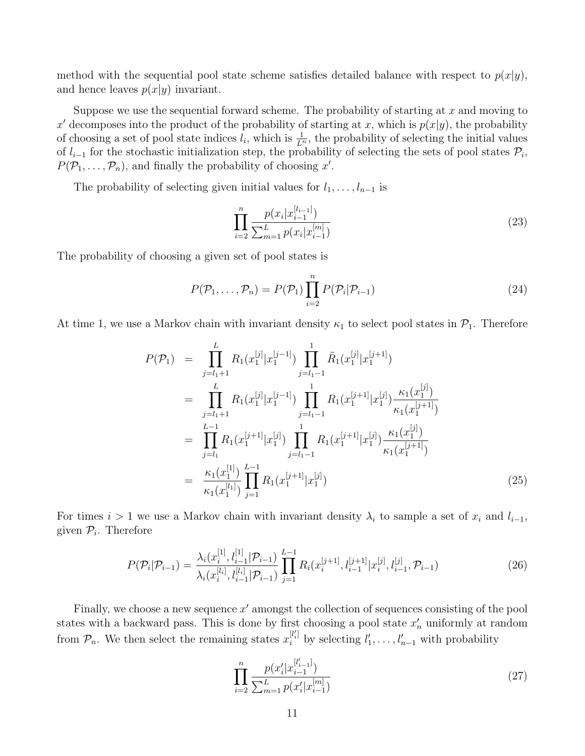method with the sequential pool state scheme satisfies detailed balance with respect to  $p(x|y)$ , and hence leaves  $p(x|y)$  invariant.

Suppose we use the sequential forward scheme. The probability of starting at  $x$  and moving to x' decomposes into the product of the probability of starting at x, which is  $p(x|y)$ , the probability of choosing a set of pool state indices  $l_i$ , which is  $\frac{1}{L^n}$ , the probability of selecting the initial values of  $l_{i-1}$  for the stochastic initialization step, the probability of selecting the sets of pool states  $\mathcal{P}_i$ ,  $P(\mathcal{P}_1,\ldots,\mathcal{P}_n)$ , and finally the probability of choosing x'.

The probability of selecting given initial values for  $l_1, \ldots, l_{n-1}$  is

$$
\prod_{i=2}^{n} \frac{p(x_i|x_{i-1}^{[l_{i-1}]})}{\sum_{m=1}^{L} p(x_i|x_{i-1}^{[m]})}
$$
(23)

The probability of choosing a given set of pool states is

$$
P(\mathcal{P}_1, \dots, \mathcal{P}_n) = P(\mathcal{P}_1) \prod_{i=2}^n P(\mathcal{P}_i | \mathcal{P}_{i-1})
$$
\n(24)

At time 1, we use a Markov chain with invariant density  $\kappa_1$  to select pool states in  $\mathcal{P}_1$ . Therefore

$$
P(\mathcal{P}_1) = \prod_{j=l_1+1}^{L} R_1(x_1^{[j]} | x_1^{[j-1]}) \prod_{j=l_1-1}^{1} \tilde{R}_1(x_1^{[j]} | x_1^{[j+1]})
$$
  
\n
$$
= \prod_{j=l_1+1}^{L} R_1(x_1^{[j]} | x_1^{[j-1]}) \prod_{j=l_1-1}^{1} R_1(x_1^{[j+1]} | x_1^{[j]}) \frac{\kappa_1(x_1^{[j]})}{\kappa_1(x_1^{[j+1]})}
$$
  
\n
$$
= \prod_{j=l_1}^{L-1} R_1(x_1^{[j+1]} | x_1^{[j]}) \prod_{j=l_1-1}^{1} R_1(x_1^{[j+1]} | x_1^{[j]}) \frac{\kappa_1(x_1^{[j]})}{\kappa_1(x_1^{[j+1]})}
$$
  
\n
$$
= \frac{\kappa_1(x_1^{[1]})}{\kappa_1(x_1^{[l_1]})} \prod_{j=1}^{L-1} R_1(x_1^{[j+1]} | x_1^{[j]})
$$
(25)

For times  $i > 1$  we use a Markov chain with invariant density  $\lambda_i$  to sample a set of  $x_i$  and  $l_{i-1}$ , given  $\mathcal{P}_i$ . Therefore

$$
P(\mathcal{P}_{i}|\mathcal{P}_{i-1}) = \frac{\lambda_{i}(x_{i}^{[1]}, l_{i-1}^{[1]}|\mathcal{P}_{i-1})}{\lambda_{i}(x_{i}^{[l_{i}]}, l_{i-1}^{[l_{i}]}|\mathcal{P}_{i-1})} \prod_{j=1}^{L-1} R_{i}(x_{i}^{[j+1]}, l_{i-1}^{[j+1]}|x_{i}^{[j]}, l_{i-1}^{[j]}, \mathcal{P}_{i-1})
$$
(26)

Finally, we choose a new sequence  $x'$  amongst the collection of sequences consisting of the pool states with a backward pass. This is done by first choosing a pool state  $x_n'$  uniformly at random from  $\mathcal{P}_n$ . We then select the remaining states  $x_i^{[l_i]}$  by selecting  $l'_1, \ldots, l'_{n-1}$  with probability

$$
\prod_{i=2}^{n} \frac{p(x'_i | x_{i-1}^{[l'_{i-1}]})}{\sum_{m=1}^{L} p(x'_i | x_{i-1}^{[m]})}
$$
(27)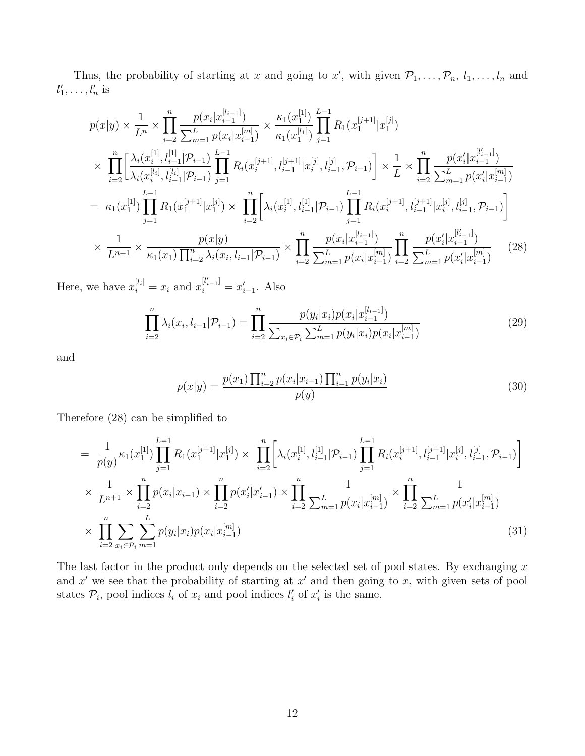Thus, the probability of starting at x and going to x', with given  $\mathcal{P}_1, \ldots, \mathcal{P}_n, l_1, \ldots, l_n$  and  $l'_1, \ldots, l'_n$  is

$$
p(x|y) \times \frac{1}{L^n} \times \prod_{i=2}^n \frac{p(x_i|x_{i-1}^{[l_{i-1}]})}{\sum_{m=1}^L p(x_i|x_{i-1}^{[m]})} \times \frac{\kappa_1(x_1^{[1]})}{\kappa_1(x_1^{[l_1]})} \prod_{j=1}^{L-1} R_1(x_1^{[j+1]}|x_1^{[j]})
$$
  
\n
$$
\times \prod_{i=2}^n \left[ \frac{\lambda_i(x_i^{[1]}, l_{i-1}^{[1]} | \mathcal{P}_{i-1})}{\lambda_i(x_i^{[l_i]}, l_{i-1}^{[l_i]} | \mathcal{P}_{i-1})} \prod_{j=1}^{L-1} R_i(x_i^{[j+1]}, l_{i-1}^{[j+1]} | x_i^{[j]}, l_{i-1}^{[j]}, \mathcal{P}_{i-1}) \right] \times \frac{1}{L} \times \prod_{i=2}^n \frac{p(x_i'|x_{i-1}^{[l_{i-1}]})}{\sum_{m=1}^L p(x_i'|x_{i-1}^{[m]})}
$$
  
\n
$$
= \kappa_1(x_1^{[1]}) \prod_{j=1}^{L-1} R_1(x_1^{[j+1]} | x_1^{[j]}) \times \prod_{i=2}^n \left[ \lambda_i(x_i^{[1]}, l_{i-1}^{[1]} | \mathcal{P}_{i-1}) \prod_{j=1}^{L-1} R_i(x_i^{[j+1]}, l_{i-1}^{[j+1]} | x_i^{[j]}, l_{i-1}^{[j]}, \mathcal{P}_{i-1}) \right]
$$
  
\n
$$
\times \frac{1}{L^{n+1}} \times \frac{p(x|y)}{\kappa_1(x_1) \prod_{i=2}^n \lambda_i(x_i, l_{i-1} | \mathcal{P}_{i-1})} \times \prod_{i=2}^n \frac{p(x_i|x_{i-1}^{[l_{i-1}]})}{\sum_{m=1}^L p(x_i|x_{i-1}^{[m]})} \prod_{i=2}^n \frac{p(x_i'|x_{i-1}^{[l_{i-1}]})}{\sum_{m=1}^L p(x_i'|x_{i-1}^{[m]})} \tag{28}
$$

Here, we have  $x_i^{[l_i]} = x_i$  and  $x_i^{[l'_{i-1}]} = x'_{i-1}$ . Also

$$
\prod_{i=2}^{n} \lambda_i(x_i, l_{i-1} | \mathcal{P}_{i-1}) = \prod_{i=2}^{n} \frac{p(y_i | x_i) p(x_i | x_{i-1}^{[l_{i-1}]})}{\sum_{x_i \in \mathcal{P}_i} \sum_{m=1}^{L} p(y_i | x_i) p(x_i | x_{i-1}^{[m]})}
$$
(29)

and

$$
p(x|y) = \frac{p(x_1) \prod_{i=2}^{n} p(x_i|x_{i-1}) \prod_{i=1}^{n} p(y_i|x_i)}{p(y)}
$$
(30)

Therefore (28) can be simplified to

$$
= \frac{1}{p(y)} \kappa_1(x_1^{[1]}) \prod_{j=1}^{L-1} R_1(x_1^{[j+1]} | x_1^{[j]} ) \times \prod_{i=2}^n \left[ \lambda_i(x_i^{[1]}, l_{i-1}^{[1]} | \mathcal{P}_{i-1}) \prod_{j=1}^{L-1} R_i(x_i^{[j+1]}, l_{i-1}^{[j+1]} | x_i^{[j]}, l_{i-1}^{[j]}, \mathcal{P}_{i-1}) \right]
$$
  
 
$$
\times \frac{1}{L^{n+1}} \times \prod_{i=2}^n p(x_i | x_{i-1}) \times \prod_{i=2}^n p(x_i' | x_{i-1}') \times \prod_{i=2}^n \frac{1}{\sum_{m=1}^L p(x_i | x_{i-1}^{[m]})} \times \prod_{i=2}^n \frac{1}{\sum_{m=1}^L p(x_i' | x_{i-1}^{[m]})}
$$
  
 
$$
\times \prod_{i=2}^n \sum_{x_i \in \mathcal{P}_i} \sum_{m=1}^L p(y_i | x_i) p(x_i | x_{i-1}^{[m]})
$$
(31)

The last factor in the product only depends on the selected set of pool states. By exchanging  $x$ and  $x'$  we see that the probability of starting at  $x'$  and then going to  $x$ , with given sets of pool states  $P_i$ , pool indices  $l_i$  of  $x_i$  and pool indices  $l'_i$  of  $x'_i$  is the same.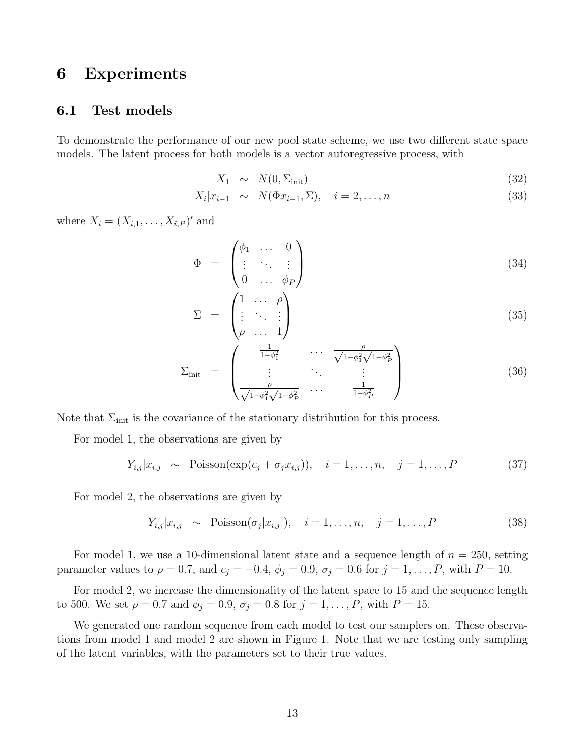### 6 Experiments

### 6.1 Test models

To demonstrate the performance of our new pool state scheme, we use two different state space models. The latent process for both models is a vector autoregressive process, with

$$
X_1 \sim N(0, \Sigma_{\text{init}}) \tag{32}
$$

$$
X_i|x_{i-1} \sim N(\Phi x_{i-1}, \Sigma), \quad i = 2, \dots, n \tag{33}
$$

where  $X_i = (X_{i,1}, ..., X_{i,P})'$  and

$$
\Phi = \begin{pmatrix} \phi_1 & \dots & 0 \\ \vdots & \ddots & \vdots \\ 0 & \dots & \phi_P \end{pmatrix} \tag{34}
$$

$$
\Sigma = \begin{pmatrix} 1 & \cdots & \rho \\ \vdots & \ddots & \vdots \\ \rho & \cdots & 1 \end{pmatrix} \tag{35}
$$

$$
\Sigma_{\text{init}} = \begin{pmatrix} \frac{1}{1 - \phi_1^2} & \cdots & \frac{\rho}{\sqrt{1 - \phi_1^2} \sqrt{1 - \phi_P^2}} \\ \vdots & \ddots & \vdots \\ \frac{\rho}{\sqrt{1 - \phi_1^2} \sqrt{1 - \phi_P^2}} & \cdots & \frac{1}{1 - \phi_P^2} \end{pmatrix}
$$
(36)

Note that  $\Sigma_{\text{init}}$  is the covariance of the stationary distribution for this process.

For model 1, the observations are given by

$$
Y_{i,j}|x_{i,j} \sim \text{Poisson}(\exp(c_j + \sigma_j x_{i,j})), \quad i = 1, \dots, n, \quad j = 1, \dots, P \tag{37}
$$

For model 2, the observations are given by

$$
Y_{i,j}|x_{i,j} \sim \text{Poisson}(\sigma_j|x_{i,j}|), \quad i = 1,\dots,n, \quad j = 1,\dots,P
$$
\n(38)

For model 1, we use a 10-dimensional latent state and a sequence length of  $n = 250$ , setting parameter values to  $\rho = 0.7$ , and  $c_j = -0.4$ ,  $\phi_j = 0.9$ ,  $\sigma_j = 0.6$  for  $j = 1, ..., P$ , with  $P = 10$ .

For model 2, we increase the dimensionality of the latent space to 15 and the sequence length to 500. We set  $\rho = 0.7$  and  $\phi_j = 0.9$ ,  $\sigma_j = 0.8$  for  $j = 1, ..., P$ , with  $P = 15$ .

We generated one random sequence from each model to test our samplers on. These observations from model 1 and model 2 are shown in Figure 1. Note that we are testing only sampling of the latent variables, with the parameters set to their true values.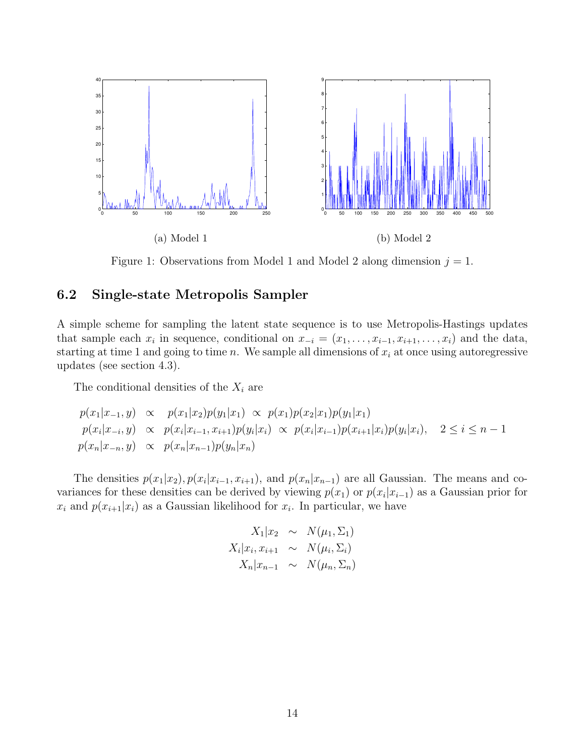

Figure 1: Observations from Model 1 and Model 2 along dimension  $j = 1$ .

### 6.2 Single-state Metropolis Sampler

A simple scheme for sampling the latent state sequence is to use Metropolis-Hastings updates that sample each  $x_i$  in sequence, conditional on  $x_{-i} = (x_1, \ldots, x_{i-1}, x_{i+1}, \ldots, x_i)$  and the data, starting at time 1 and going to time n. We sample all dimensions of  $x_i$  at once using autoregressive updates (see section 4.3).

The conditional densities of the  $X_i$  are

$$
p(x_1|x_{-1},y) \propto p(x_1|x_2)p(y_1|x_1) \propto p(x_1)p(x_2|x_1)p(y_1|x_1)
$$
  
\n
$$
p(x_i|x_{-i},y) \propto p(x_i|x_{i-1},x_{i+1})p(y_i|x_i) \propto p(x_i|x_{i-1})p(x_{i+1}|x_i)p(y_i|x_i), \quad 2 \le i \le n-1
$$
  
\n
$$
p(x_n|x_{-n},y) \propto p(x_n|x_{n-1})p(y_n|x_n)
$$

The densities  $p(x_1|x_2), p(x_i|x_{i-1}, x_{i+1}),$  and  $p(x_n|x_{n-1})$  are all Gaussian. The means and covariances for these densities can be derived by viewing  $p(x_1)$  or  $p(x_i|x_{i-1})$  as a Gaussian prior for  $x_i$  and  $p(x_{i+1}|x_i)$  as a Gaussian likelihood for  $x_i$ . In particular, we have

$$
X_1|x_2 \sim N(\mu_1, \Sigma_1)
$$
  

$$
X_i|x_i, x_{i+1} \sim N(\mu_i, \Sigma_i)
$$
  

$$
X_n|x_{n-1} \sim N(\mu_n, \Sigma_n)
$$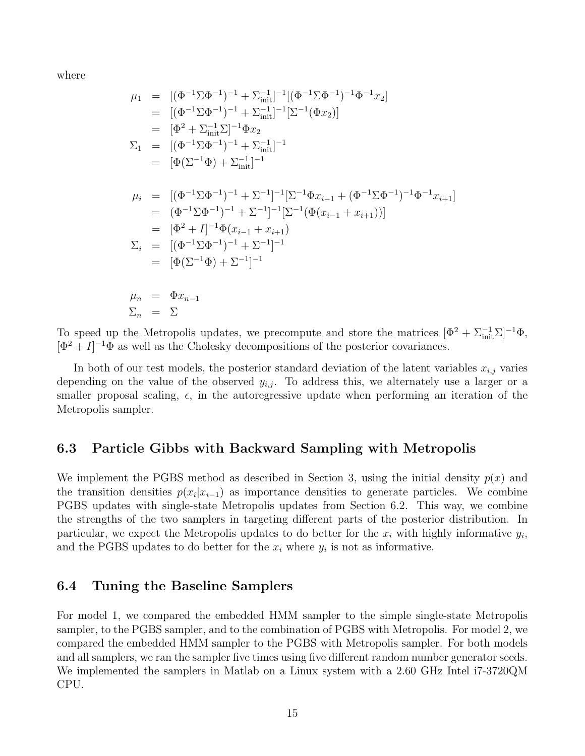where

$$
\mu_1 = [(\Phi^{-1}\Sigma\Phi^{-1})^{-1} + \Sigma_{\text{init}}^{-1}]^{-1}[(\Phi^{-1}\Sigma\Phi^{-1})^{-1}\Phi^{-1}x_2]
$$
  
\n
$$
= [(\Phi^{-1}\Sigma\Phi^{-1})^{-1} + \Sigma_{\text{init}}^{-1}]^{-1}[\Sigma^{-1}(\Phi x_2)]
$$
  
\n
$$
= [\Phi^2 + \Sigma_{\text{init}}^{-1}\Sigma]^{-1}\Phi x_2
$$
  
\n
$$
\Sigma_1 = [(\Phi^{-1}\Sigma\Phi^{-1})^{-1} + \Sigma_{\text{init}}^{-1}]^{-1}
$$
  
\n
$$
= [\Phi(\Sigma^{-1}\Phi) + \Sigma_{\text{init}}^{-1}]^{-1}
$$
  
\n
$$
\mu_i = [(\Phi^{-1}\Sigma\Phi^{-1})^{-1} + \Sigma^{-1}]^{-1}[\Sigma^{-1}\Phi x_{i-1} + (\Phi^{-1}\Sigma\Phi^{-1})^{-1}\Phi^{-1}x_{i+1}]
$$
  
\n
$$
= (\Phi^{-1}\Sigma\Phi^{-1})^{-1} + \Sigma^{-1}]^{-1}[\Sigma^{-1}(\Phi(x_{i-1} + x_{i+1}))]
$$
  
\n
$$
= [\Phi^2 + I]^{-1}\Phi(x_{i-1} + x_{i+1})
$$
  
\n
$$
\Sigma_i = [(\Phi^{-1}\Sigma\Phi^{-1})^{-1} + \Sigma^{-1}]^{-1}
$$
  
\n
$$
= [\Phi(\Sigma^{-1}\Phi) + \Sigma^{-1}]^{-1}
$$
  
\n
$$
\mu_n = \Phi x_{n-1}
$$
  
\n
$$
\Sigma_n = \Sigma
$$

To speed up the Metropolis updates, we precompute and store the matrices  $[\Phi^2 + \Sigma_{\text{init}}^{-1} \Sigma]^{-1} \Phi$ ,  $[\Phi^2 + I]^{-1} \Phi$  as well as the Cholesky decompositions of the posterior covariances.

In both of our test models, the posterior standard deviation of the latent variables  $x_{i,j}$  varies depending on the value of the observed  $y_{i,j}$ . To address this, we alternately use a larger or a smaller proposal scaling,  $\epsilon$ , in the autoregressive update when performing an iteration of the Metropolis sampler.

#### 6.3 Particle Gibbs with Backward Sampling with Metropolis

We implement the PGBS method as described in Section 3, using the initial density  $p(x)$  and the transition densities  $p(x_i|x_{i-1})$  as importance densities to generate particles. We combine PGBS updates with single-state Metropolis updates from Section 6.2. This way, we combine the strengths of the two samplers in targeting different parts of the posterior distribution. In particular, we expect the Metropolis updates to do better for the  $x_i$  with highly informative  $y_i$ , and the PGBS updates to do better for the  $x_i$  where  $y_i$  is not as informative.

### 6.4 Tuning the Baseline Samplers

For model 1, we compared the embedded HMM sampler to the simple single-state Metropolis sampler, to the PGBS sampler, and to the combination of PGBS with Metropolis. For model 2, we compared the embedded HMM sampler to the PGBS with Metropolis sampler. For both models and all samplers, we ran the sampler five times using five different random number generator seeds. We implemented the samplers in Matlab on a Linux system with a 2.60 GHz Intel i7-3720QM CPU.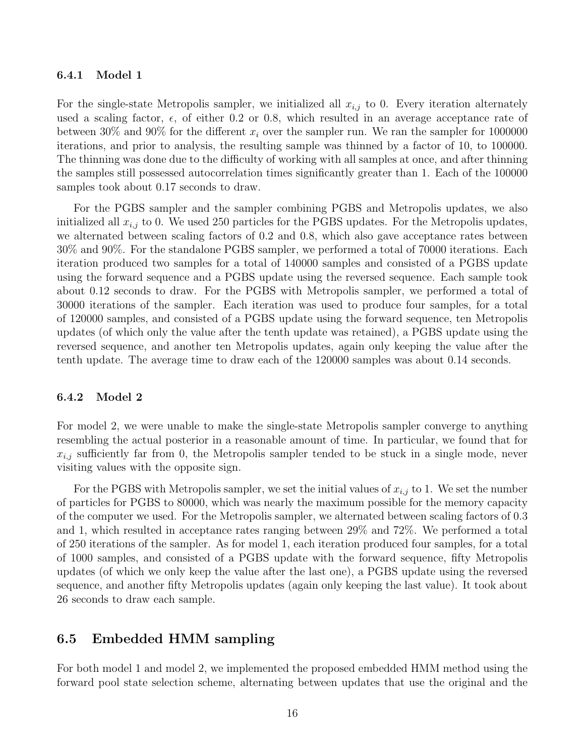#### 6.4.1 Model 1

For the single-state Metropolis sampler, we initialized all  $x_{i,j}$  to 0. Every iteration alternately used a scaling factor,  $\epsilon$ , of either 0.2 or 0.8, which resulted in an average acceptance rate of between 30% and 90% for the different  $x_i$  over the sampler run. We ran the sampler for 1000000 iterations, and prior to analysis, the resulting sample was thinned by a factor of 10, to 100000. The thinning was done due to the difficulty of working with all samples at once, and after thinning the samples still possessed autocorrelation times significantly greater than 1. Each of the 100000 samples took about 0.17 seconds to draw.

For the PGBS sampler and the sampler combining PGBS and Metropolis updates, we also initialized all  $x_{i,j}$  to 0. We used 250 particles for the PGBS updates. For the Metropolis updates, we alternated between scaling factors of 0.2 and 0.8, which also gave acceptance rates between 30% and 90%. For the standalone PGBS sampler, we performed a total of 70000 iterations. Each iteration produced two samples for a total of 140000 samples and consisted of a PGBS update using the forward sequence and a PGBS update using the reversed sequence. Each sample took about 0.12 seconds to draw. For the PGBS with Metropolis sampler, we performed a total of 30000 iterations of the sampler. Each iteration was used to produce four samples, for a total of 120000 samples, and consisted of a PGBS update using the forward sequence, ten Metropolis updates (of which only the value after the tenth update was retained), a PGBS update using the reversed sequence, and another ten Metropolis updates, again only keeping the value after the tenth update. The average time to draw each of the 120000 samples was about 0.14 seconds.

#### 6.4.2 Model 2

For model 2, we were unable to make the single-state Metropolis sampler converge to anything resembling the actual posterior in a reasonable amount of time. In particular, we found that for  $x_{i,j}$  sufficiently far from 0, the Metropolis sampler tended to be stuck in a single mode, never visiting values with the opposite sign.

For the PGBS with Metropolis sampler, we set the initial values of  $x_{i,j}$  to 1. We set the number of particles for PGBS to 80000, which was nearly the maximum possible for the memory capacity of the computer we used. For the Metropolis sampler, we alternated between scaling factors of 0.3 and 1, which resulted in acceptance rates ranging between 29% and 72%. We performed a total of 250 iterations of the sampler. As for model 1, each iteration produced four samples, for a total of 1000 samples, and consisted of a PGBS update with the forward sequence, fifty Metropolis updates (of which we only keep the value after the last one), a PGBS update using the reversed sequence, and another fifty Metropolis updates (again only keeping the last value). It took about 26 seconds to draw each sample.

#### 6.5 Embedded HMM sampling

For both model 1 and model 2, we implemented the proposed embedded HMM method using the forward pool state selection scheme, alternating between updates that use the original and the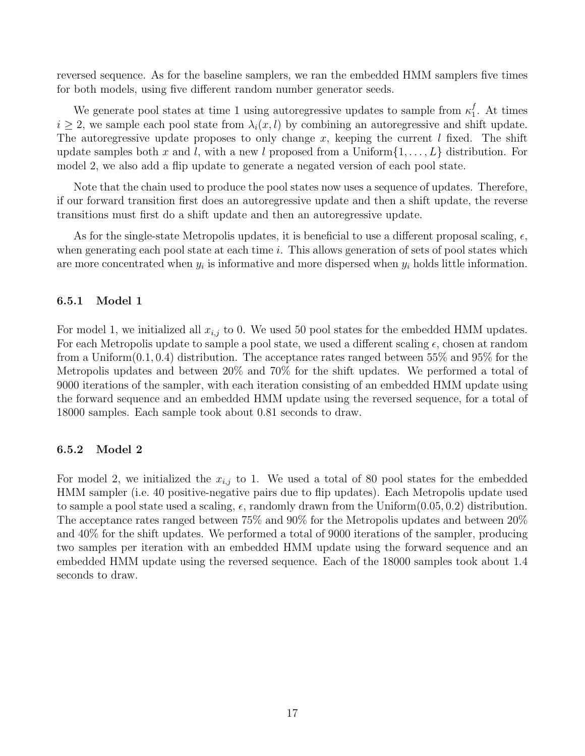reversed sequence. As for the baseline samplers, we ran the embedded HMM samplers five times for both models, using five different random number generator seeds.

We generate pool states at time 1 using autoregressive updates to sample from  $\kappa_1^f$  $_{1}^{J}$ . At times  $i \geq 2$ , we sample each pool state from  $\lambda_i(x, l)$  by combining an autoregressive and shift update. The autoregressive update proposes to only change x, keeping the current  $l$  fixed. The shift update samples both x and l, with a new l proposed from a Uniform $\{1, \ldots, L\}$  distribution. For model 2, we also add a flip update to generate a negated version of each pool state.

Note that the chain used to produce the pool states now uses a sequence of updates. Therefore, if our forward transition first does an autoregressive update and then a shift update, the reverse transitions must first do a shift update and then an autoregressive update.

As for the single-state Metropolis updates, it is beneficial to use a different proposal scaling,  $\epsilon$ , when generating each pool state at each time  $i$ . This allows generation of sets of pool states which are more concentrated when  $y_i$  is informative and more dispersed when  $y_i$  holds little information.

#### 6.5.1 Model 1

For model 1, we initialized all  $x_{i,j}$  to 0. We used 50 pool states for the embedded HMM updates. For each Metropolis update to sample a pool state, we used a different scaling  $\epsilon$ , chosen at random from a Uniform $(0.1, 0.4)$  distribution. The acceptance rates ranged between 55% and 95% for the Metropolis updates and between 20% and 70% for the shift updates. We performed a total of 9000 iterations of the sampler, with each iteration consisting of an embedded HMM update using the forward sequence and an embedded HMM update using the reversed sequence, for a total of 18000 samples. Each sample took about 0.81 seconds to draw.

#### 6.5.2 Model 2

For model 2, we initialized the  $x_{i,j}$  to 1. We used a total of 80 pool states for the embedded HMM sampler (i.e. 40 positive-negative pairs due to flip updates). Each Metropolis update used to sample a pool state used a scaling,  $\epsilon$ , randomly drawn from the Uniform $(0.05, 0.2)$  distribution. The acceptance rates ranged between 75% and 90% for the Metropolis updates and between 20% and 40% for the shift updates. We performed a total of 9000 iterations of the sampler, producing two samples per iteration with an embedded HMM update using the forward sequence and an embedded HMM update using the reversed sequence. Each of the 18000 samples took about 1.4 seconds to draw.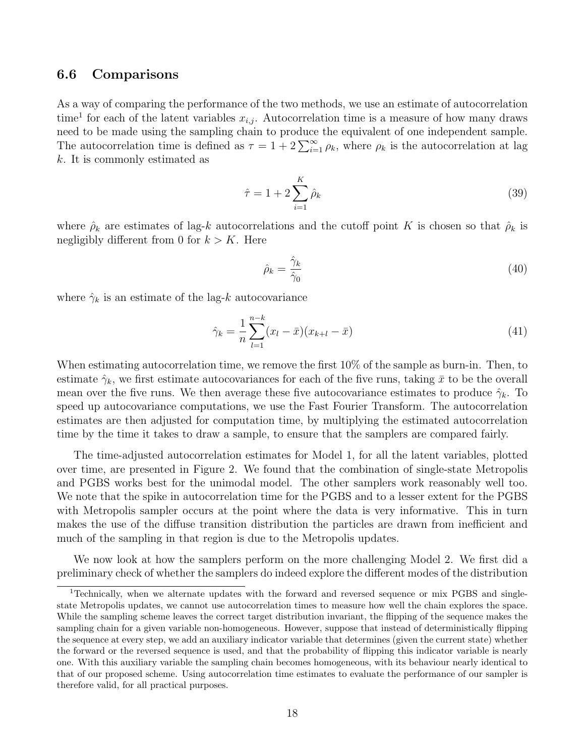#### 6.6 Comparisons

As a way of comparing the performance of the two methods, we use an estimate of autocorrelation time<sup>1</sup> for each of the latent variables  $x_{i,j}$ . Autocorrelation time is a measure of how many draws need to be made using the sampling chain to produce the equivalent of one independent sample. The autocorrelation time is defined as  $\tau = 1 + 2 \sum_{i=1}^{\infty} \rho_k$ , where  $\rho_k$  is the autocorrelation at lag k. It is commonly estimated as

$$
\hat{\tau} = 1 + 2 \sum_{i=1}^{K} \hat{\rho}_k
$$
\n(39)

where  $\hat{\rho}_k$  are estimates of lag-k autocorrelations and the cutoff point K is chosen so that  $\hat{\rho}_k$  is negligibly different from 0 for  $k > K$ . Here

$$
\hat{\rho}_k = \frac{\hat{\gamma}_k}{\hat{\gamma}_0} \tag{40}
$$

where  $\hat{\gamma}_k$  is an estimate of the lag-k autocovariance

$$
\hat{\gamma}_k = \frac{1}{n} \sum_{l=1}^{n-k} (x_l - \bar{x})(x_{k+l} - \bar{x})
$$
\n(41)

When estimating autocorrelation time, we remove the first 10% of the sample as burn-in. Then, to estimate  $\hat{\gamma}_k$ , we first estimate autocovariances for each of the five runs, taking  $\bar{x}$  to be the overall mean over the five runs. We then average these five autocovariance estimates to produce  $\hat{\gamma}_k$ . To speed up autocovariance computations, we use the Fast Fourier Transform. The autocorrelation estimates are then adjusted for computation time, by multiplying the estimated autocorrelation time by the time it takes to draw a sample, to ensure that the samplers are compared fairly.

The time-adjusted autocorrelation estimates for Model 1, for all the latent variables, plotted over time, are presented in Figure 2. We found that the combination of single-state Metropolis and PGBS works best for the unimodal model. The other samplers work reasonably well too. We note that the spike in autocorrelation time for the PGBS and to a lesser extent for the PGBS with Metropolis sampler occurs at the point where the data is very informative. This in turn makes the use of the diffuse transition distribution the particles are drawn from inefficient and much of the sampling in that region is due to the Metropolis updates.

We now look at how the samplers perform on the more challenging Model 2. We first did a preliminary check of whether the samplers do indeed explore the different modes of the distribution

<sup>1</sup>Technically, when we alternate updates with the forward and reversed sequence or mix PGBS and singlestate Metropolis updates, we cannot use autocorrelation times to measure how well the chain explores the space. While the sampling scheme leaves the correct target distribution invariant, the flipping of the sequence makes the sampling chain for a given variable non-homogeneous. However, suppose that instead of deterministically flipping the sequence at every step, we add an auxiliary indicator variable that determines (given the current state) whether the forward or the reversed sequence is used, and that the probability of flipping this indicator variable is nearly one. With this auxiliary variable the sampling chain becomes homogeneous, with its behaviour nearly identical to that of our proposed scheme. Using autocorrelation time estimates to evaluate the performance of our sampler is therefore valid, for all practical purposes.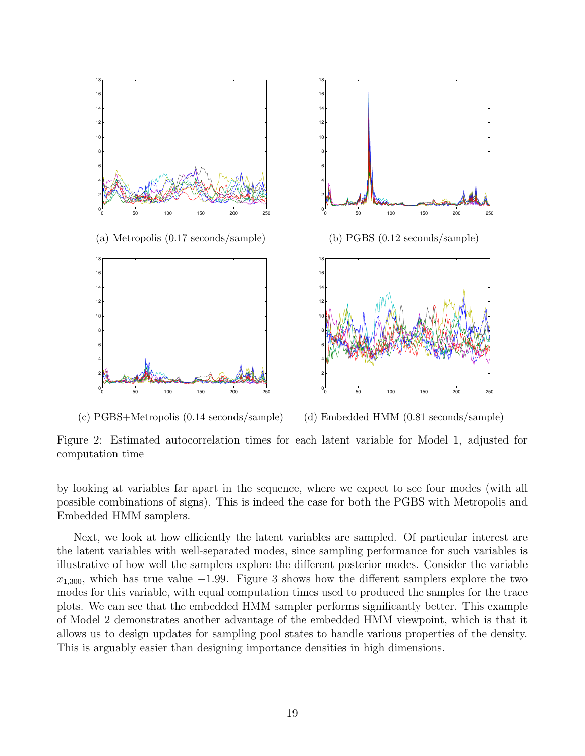

(c) PGBS+Metropolis (0.14 seconds/sample) (d) Embedded HMM (0.81 seconds/sample)

Figure 2: Estimated autocorrelation times for each latent variable for Model 1, adjusted for computation time

by looking at variables far apart in the sequence, where we expect to see four modes (with all possible combinations of signs). This is indeed the case for both the PGBS with Metropolis and Embedded HMM samplers.

Next, we look at how efficiently the latent variables are sampled. Of particular interest are the latent variables with well-separated modes, since sampling performance for such variables is illustrative of how well the samplers explore the different posterior modes. Consider the variable  $x_{1,300}$ , which has true value −1.99. Figure 3 shows how the different samplers explore the two modes for this variable, with equal computation times used to produced the samples for the trace plots. We can see that the embedded HMM sampler performs significantly better. This example of Model 2 demonstrates another advantage of the embedded HMM viewpoint, which is that it allows us to design updates for sampling pool states to handle various properties of the density. This is arguably easier than designing importance densities in high dimensions.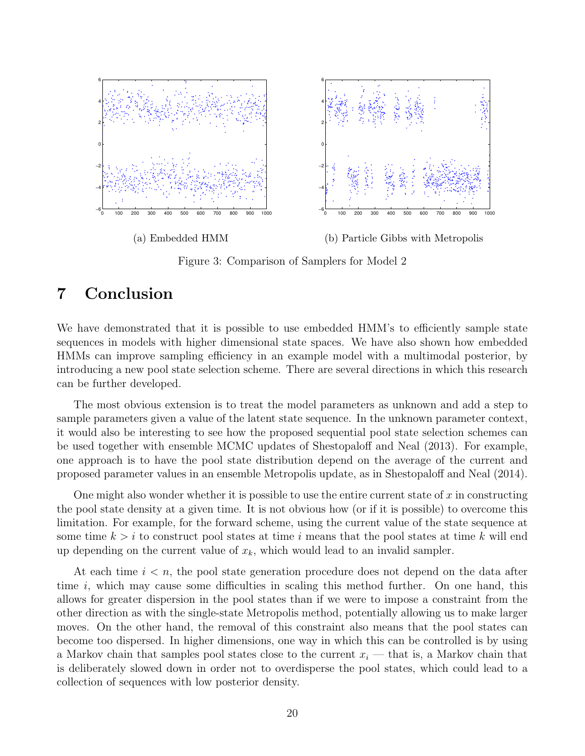

Figure 3: Comparison of Samplers for Model 2

## 7 Conclusion

We have demonstrated that it is possible to use embedded HMM's to efficiently sample state sequences in models with higher dimensional state spaces. We have also shown how embedded HMMs can improve sampling efficiency in an example model with a multimodal posterior, by introducing a new pool state selection scheme. There are several directions in which this research can be further developed.

The most obvious extension is to treat the model parameters as unknown and add a step to sample parameters given a value of the latent state sequence. In the unknown parameter context, it would also be interesting to see how the proposed sequential pool state selection schemes can be used together with ensemble MCMC updates of Shestopaloff and Neal (2013). For example, one approach is to have the pool state distribution depend on the average of the current and proposed parameter values in an ensemble Metropolis update, as in Shestopaloff and Neal (2014).

One might also wonder whether it is possible to use the entire current state of  $x$  in constructing the pool state density at a given time. It is not obvious how (or if it is possible) to overcome this limitation. For example, for the forward scheme, using the current value of the state sequence at some time  $k > i$  to construct pool states at time i means that the pool states at time k will end up depending on the current value of  $x_k$ , which would lead to an invalid sampler.

At each time  $i < n$ , the pool state generation procedure does not depend on the data after time  $i$ , which may cause some difficulties in scaling this method further. On one hand, this allows for greater dispersion in the pool states than if we were to impose a constraint from the other direction as with the single-state Metropolis method, potentially allowing us to make larger moves. On the other hand, the removal of this constraint also means that the pool states can become too dispersed. In higher dimensions, one way in which this can be controlled is by using a Markov chain that samples pool states close to the current  $x_i$  — that is, a Markov chain that is deliberately slowed down in order not to overdisperse the pool states, which could lead to a collection of sequences with low posterior density.